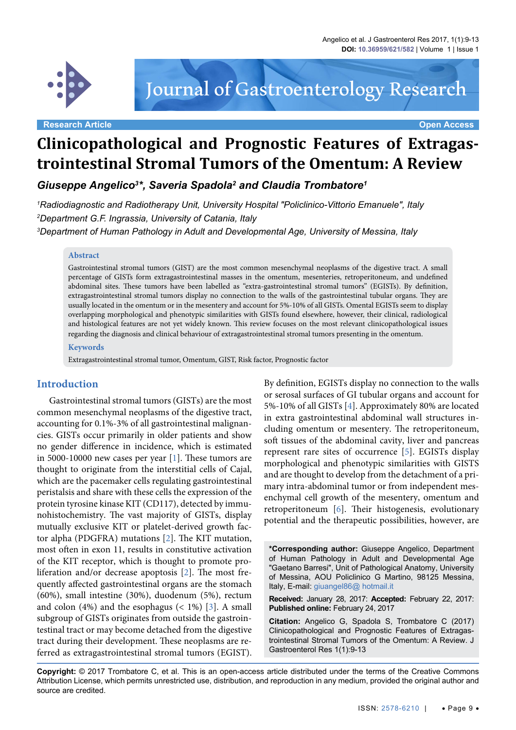

# Journal of Gastroenterology Research

**Research Article Open Access**

# **Clinicopathological and Prognostic Features of Extragastrointestinal Stromal Tumors of the Omentum: A Review**

*Giuseppe Angelico3 \*, Saveria Spadola2 and Claudia Trombatore1*

*1 Radiodiagnostic and Radiotherapy Unit, University Hospital "Policlinico-Vittorio Emanuele", Italy 2 Department G.F. Ingrassia, University of Catania, Italy 3 Department of Human Pathology in Adult and Developmental Age, University of Messina, Italy*

#### **Abstract**

Gastrointestinal stromal tumors (GIST) are the most common mesenchymal neoplasms of the digestive tract. A small percentage of GISTs form extragastrointestinal masses in the omentum, mesenteries, retroperitoneum, and undefined abdominal sites. These tumors have been labelled as "extra-gastrointestinal stromal tumors" (EGISTs). By definition, extragastrointestinal stromal tumors display no connection to the walls of the gastrointestinal tubular organs. They are usually located in the omentum or in the mesentery and account for 5%-10% of all GISTs. Omental EGISTs seem to display overlapping morphological and phenotypic similarities with GISTs found elsewhere, however, their clinical, radiological and histological features are not yet widely known. This review focuses on the most relevant clinicopathological issues regarding the diagnosis and clinical behaviour of extragastrointestinal stromal tumors presenting in the omentum.

#### **Keywords**

Extragastrointestinal stromal tumor, Omentum, GIST, Risk factor, Prognostic factor

#### **Introduction**

Gastrointestinal stromal tumors (GISTs) are the most common mesenchymal neoplasms of the digestive tract, accounting for 0.1%-3% of all gastrointestinal malignancies. GISTs occur primarily in older patients and show no gender difference in incidence, which is estimated in 5000-10000 new cases per year [[1](#page-3-0)]. These tumors are thought to originate from the interstitial cells of Cajal, which are the pacemaker cells regulating gastrointestinal peristalsis and share with these cells the expression of the protein tyrosine kinase KIT (CD117), detected by immunohistochemistry. The vast majority of GISTs, display mutually exclusive KIT or platelet-derived growth factor alpha (PDGFRA) mutations [\[2\]](#page-3-1). The KIT mutation, most often in exon 11, results in constitutive activation of the KIT receptor, which is thought to promote proliferation and/or decrease apoptosis [\[2\]](#page-3-1). The most frequently affected gastrointestinal organs are the stomach (60%), small intestine (30%), duodenum (5%), rectum and colon  $(4%)$  and the esophagus  $($  1% $)$  [[3](#page-3-2)]. A small subgroup of GISTs originates from outside the gastrointestinal tract or may become detached from the digestive tract during their development. These neoplasms are referred as extragastrointestinal stromal tumors (EGIST).

By definition, EGISTs display no connection to the walls or serosal surfaces of GI tubular organs and account for 5%-10% of all GISTs [\[4](#page-3-3)]. Approximately 80% are located in extra gastrointestinal abdominal wall structures including omentum or mesentery. The retroperitoneum, soft tissues of the abdominal cavity, liver and pancreas represent rare sites of occurrence [\[5](#page-3-4)]. EGISTs display morphological and phenotypic similarities with GISTS and are thought to develop from the detachment of a primary intra-abdominal tumor or from independent mesenchymal cell growth of the mesentery, omentum and retroperitoneum [\[6](#page-3-5)]. Their histogenesis, evolutionary potential and the therapeutic possibilities, however, are

**\*Corresponding author:** Giuseppe Angelico, Department of Human Pathology in Adult and Developmental Age "Gaetano Barresi", Unit of Pathological Anatomy, University of Messina, AOU Policlinico G Martino, 98125 Messina, Italy, E-mail: giuangel86@ hotmail.it

**Received:** January 28, 2017: **Accepted:** February 22, 2017: **Published online:** February 24, 2017

**Citation:** Angelico G, Spadola S, Trombatore C (2017) Clinicopathological and Prognostic Features of Extragastrointestinal Stromal Tumors of the Omentum: A Review. J Gastroenterol Res 1(1):9-13

**Copyright:** © 2017 Trombatore C, et al. This is an open-access article distributed under the terms of the Creative Commons Attribution License, which permits unrestricted use, distribution, and reproduction in any medium, provided the original author and source are credited.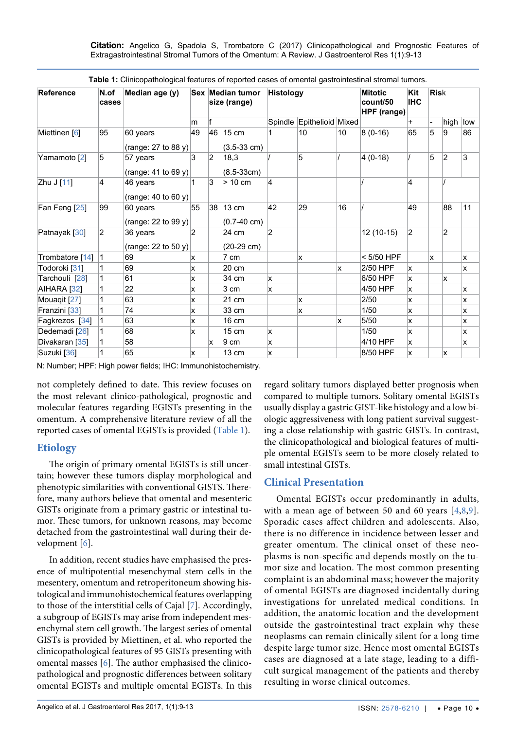**Citation:** Angelico G, Spadola S, Trombatore C (2017) Clinicopathological and Prognostic Features of Extragastrointestinal Stromal Tumors of the Omentum: A Review. J Gastroenterol Res 1(1):9-13

| <b>Reference</b>         | N.of<br>cases  | Median age (y)                  |                | Sex Median tumor<br>size (range) |                                          | <b>Histology</b> |                           |    | <b>Mitotic</b><br>count/50<br>HPF (range) | Kit<br><b>IHC</b> | <b>Risk</b> |                |     |
|--------------------------|----------------|---------------------------------|----------------|----------------------------------|------------------------------------------|------------------|---------------------------|----|-------------------------------------------|-------------------|-------------|----------------|-----|
|                          |                |                                 | m              | f                                |                                          |                  | Spindle Epithelioid Mixed |    |                                           | $\ddot{}$         |             | high           | low |
| Miettinen [6]            | 95             | 60 years<br>(range: 27 to 88 y) | 49             | 46                               | $15 \text{ cm}$<br>$(3.5-33 \text{ cm})$ |                  | 10                        | 10 | $8(0-16)$                                 | 65                | 5           | 9              | 86  |
| Yamamoto [2]             | 5              | 57 years<br>(range: 41 to 69 y) | 3              | $\overline{2}$                   | 18,3<br>$(8.5-33cm)$                     |                  | 5                         |    | $4(0-18)$                                 |                   | 5           | $\overline{2}$ | 3   |
| Zhu J [11]               | $\overline{4}$ | 46 years<br>(range: 40 to 60 y) |                | 3                                | $> 10 \text{ cm}$                        | $\overline{4}$   |                           |    |                                           | 4                 |             |                |     |
| Fan Feng [25]            | 99             | 60 years<br>(range: 22 to 99 y) | 55             | 38                               | 13 cm<br>$(0.7-40 \text{ cm})$           | 42               | 29                        | 16 |                                           | 49                |             | 88             | 11  |
| Patnayak [30]            | $\overline{2}$ | 36 years<br>(range: 22 to 50 y) | $\overline{2}$ |                                  | 24 cm<br>$(20-29 \text{ cm})$            | $\overline{2}$   |                           |    | 12 (10-15)                                | $\overline{2}$    |             | 2              |     |
| Trombatore [14]          | 1              | 69                              | ΙX.            |                                  | 7 cm                                     |                  | x                         |    | $<$ 5/50 HPF                              |                   | X           |                | ΙX. |
| Todoroki [31]            | 1              | 69                              | x              |                                  | 20 cm                                    |                  |                           | x  | 2/50 HPF                                  | <b>X</b>          |             |                | x   |
| Tarchouli [28]           |                | 61                              | <b>x</b>       |                                  | 34 cm                                    | x                |                           |    | 6/50 HPF                                  | <b>X</b>          |             | x              |     |
| AIHARA [32]              |                | 22                              | x              |                                  | 3 cm                                     | x                |                           |    | 4/50 HPF                                  | X.                |             |                | x   |
| Mouaqit [27]             |                | 63                              | ΙX.            |                                  | 21 cm                                    |                  | x                         |    | 2/50                                      | X.                |             |                | x   |
| Franzini [33]            | 1              | 74                              | x              |                                  | 33 cm                                    |                  | x                         |    | 1/50                                      | X                 |             |                | X   |
| Fagkrezos [34]           |                | 63                              | x              |                                  | 16 cm                                    |                  |                           | x  | 5/50                                      | x                 |             |                | x   |
| Dedemadi <sup>[26]</sup> |                | 68                              | ΙX.            |                                  | $15 \text{ cm}$                          | x                |                           |    | 1/50                                      | x                 |             |                | x   |
| Divakaran [35]           |                | 58                              |                | x                                | 9 cm                                     | <b>x</b>         |                           |    | 4/10 HPF                                  | <b>X</b>          |             |                | x   |
| Suzuki [36]              |                | 65                              | x              |                                  | 13 cm                                    | x                |                           |    | 8/50 HPF                                  | x                 |             | x              |     |

<span id="page-1-0"></span>**Table 1:** Clinicopathological features of reported cases of omental gastrointestinal stromal tumors.

N: Number; HPF: High power fields; IHC: Immunohistochemistry.

not completely defined to date. This review focuses on the most relevant clinico-pathological, prognostic and molecular features regarding EGISTs presenting in the omentum. A comprehensive literature review of all the reported cases of omental EGISTs is provided ([Table 1](#page-1-0)).

#### **Etiology**

The origin of primary omental EGISTs is still uncertain; however these tumors display morphological and phenotypic similarities with conventional GISTS. Therefore, many authors believe that omental and mesenteric GISTs originate from a primary gastric or intestinal tumor. These tumors, for unknown reasons, may become detached from the gastrointestinal wall during their development [[6](#page-3-5)].

In addition, recent studies have emphasised the presence of multipotential mesenchymal stem cells in the mesentery, omentum and retroperitoneum showing histological and immunohistochemical features overlapping to those of the interstitial cells of Cajal [\[7\]](#page-3-6). Accordingly, a subgroup of EGISTs may arise from independent mesenchymal stem cell growth. The largest series of omental GISTs is provided by Miettinen, et al. who reported the clinicopathological features of 95 GISTs presenting with omental masses [\[6](#page-3-5)]. The author emphasised the clinicopathological and prognostic differences between solitary omental EGISTs and multiple omental EGISTs. In this

regard solitary tumors displayed better prognosis when compared to multiple tumors. Solitary omental EGISTs usually display a gastric GIST-like histology and a low biologic aggressiveness with long patient survival suggesting a close relationship with gastric GISTs. In contrast, the clinicopathological and biological features of multiple omental EGISTs seem to be more closely related to small intestinal GISTs.

## **Clinical Presentation**

Omental EGISTs occur predominantly in adults, with a mean age of between 50 and 60 years  $[4,8,9]$  $[4,8,9]$  $[4,8,9]$  $[4,8,9]$  $[4,8,9]$ . Sporadic cases affect children and adolescents. Also, there is no difference in incidence between lesser and greater omentum. The clinical onset of these neoplasms is non-specific and depends mostly on the tumor size and location. The most common presenting complaint is an abdominal mass; however the majority of omental EGISTs are diagnosed incidentally during investigations for unrelated medical conditions. In addition, the anatomic location and the development outside the gastrointestinal tract explain why these neoplasms can remain clinically silent for a long time despite large tumor size. Hence most omental EGISTs cases are diagnosed at a late stage, leading to a difficult surgical management of the patients and thereby resulting in worse clinical outcomes.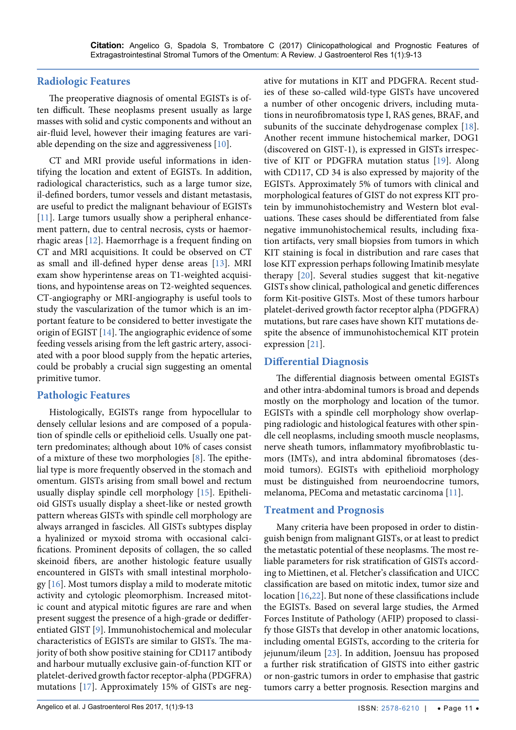#### **Radiologic Features**

The preoperative diagnosis of omental EGISTs is often difficult. These neoplasms present usually as large masses with solid and cystic components and without an air-fluid level, however their imaging features are variable depending on the size and aggressiveness [\[10\]](#page-3-11).

CT and MRI provide useful informations in identifying the location and extent of EGISTs. In addition, radiological characteristics, such as a large tumor size, il-defined borders, tumor vessels and distant metastasis, are useful to predict the malignant behaviour of EGISTs [\[11\]](#page-3-9). Large tumors usually show a peripheral enhancement pattern, due to central necrosis, cysts or haemorrhagic areas [\[12\]](#page-3-12). Haemorrhage is a frequent finding on CT and MRI acquisitions. It could be observed on CT as small and ill-defined hyper dense areas [\[13\]](#page-3-13). MRI exam show hyperintense areas on T1-weighted acquisitions, and hypointense areas on T2-weighted sequences. CT-angiography or MRI-angiography is useful tools to study the vascularization of the tumor which is an important feature to be considered to better investigate the origin of EGIST [\[14\]](#page-3-10). The angiographic evidence of some feeding vessels arising from the left gastric artery, associated with a poor blood supply from the hepatic arteries, could be probably a crucial sign suggesting an omental primitive tumor.

#### **Pathologic Features**

Histologically, EGISTs range from hypocellular to densely cellular lesions and are composed of a population of spindle cells or epithelioid cells. Usually one pattern predominates; although about 10% of cases consist of a mixture of these two morphologies [\[8\]](#page-3-7). The epithelial type is more frequently observed in the stomach and omentum. GISTs arising from small bowel and rectum usually display spindle cell morphology [\[15\]](#page-3-14). Epithelioid GISTs usually display a sheet-like or nested growth pattern whereas GISTs with spindle cell morphology are always arranged in fascicles. All GISTs subtypes display a hyalinized or myxoid stroma with occasional calcifications. Prominent deposits of collagen, the so called skeinoid fibers, are another histologic feature usually encountered in GISTs with small intestinal morphology [\[16\]](#page-3-15). Most tumors display a mild to moderate mitotic activity and cytologic pleomorphism. Increased mitotic count and atypical mitotic figures are rare and when present suggest the presence of a high-grade or dedifferentiated GIST [\[9\]](#page-3-8). Immunohistochemical and molecular characteristics of EGISTs are similar to GISTs. The majority of both show positive staining for CD117 antibody and harbour mutually exclusive gain-of-function KIT or platelet-derived growth factor receptor-alpha (PDGFRA) mutations [\[17\]](#page-3-16). Approximately 15% of GISTs are negative for mutations in KIT and PDGFRA. Recent studies of these so-called wild-type GISTs have uncovered a number of other oncogenic drivers, including mutations in neurofibromatosis type I, RAS genes, BRAF, and subunits of the succinate dehydrogenase complex [[18](#page-3-17)]. Another recent immune histochemical marker, DOG1 (discovered on GIST-1), is expressed in GISTs irrespective of KIT or PDGFRA mutation status [[19](#page-4-11)]. Along with CD117, CD 34 is also expressed by majority of the EGISTs. Approximately 5% of tumors with clinical and morphological features of GIST do not express KIT protein by immunohistochemistry and Western blot evaluations. These cases should be differentiated from false negative immunohistochemical results, including fixation artifacts, very small biopsies from tumors in which KIT staining is focal in distribution and rare cases that lose KIT expression perhaps following Imatinib mesylate therapy [\[20\]](#page-4-12). Several studies suggest that kit-negative GISTs show clinical, pathological and genetic differences form Kit-positive GISTs. Most of these tumors harbour platelet-derived growth factor receptor alpha (PDGFRA) mutations, but rare cases have shown KIT mutations despite the absence of immunohistochemical KIT protein expression [\[21\]](#page-4-13).

### **Differential Diagnosis**

The differential diagnosis between omental EGISTs and other intra-abdominal tumors is broad and depends mostly on the morphology and location of the tumor. EGISTs with a spindle cell morphology show overlapping radiologic and histological features with other spindle cell neoplasms, including smooth muscle neoplasms, nerve sheath tumors, inflammatory myofibroblastic tumors (IMTs), and intra abdominal fibromatoses (desmoid tumors). EGISTs with epithelioid morphology must be distinguished from neuroendocrine tumors, melanoma, PEComa and metastatic carcinoma [[11](#page-3-9)].

#### **Treatment and Prognosis**

Many criteria have been proposed in order to distinguish benign from malignant GISTs, or at least to predict the metastatic potential of these neoplasms. The most reliable parameters for risk stratification of GISTs according to Miettinen, et al. Fletcher's classification and UICC classification are based on mitotic index, tumor size and location [[16](#page-3-15),[22](#page-4-14)]. But none of these classifications include the EGISTs. Based on several large studies, the Armed Forces Institute of Pathology (AFIP) proposed to classify those GISTs that develop in other anatomic locations, including omental EGISTs, according to the criteria for jejunum/ileum [[23](#page-4-15)]. In addition, Joensuu has proposed a further risk stratification of GISTS into either gastric or non-gastric tumors in order to emphasise that gastric tumors carry a better prognosis. Resection margins and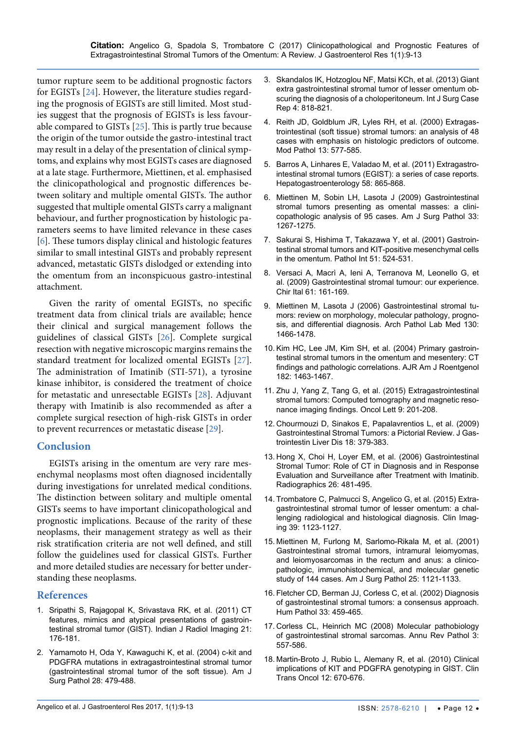tumor rupture seem to be additional prognostic factors for EGISTs [[24](#page-4-16)]. However, the literature studies regarding the prognosis of EGISTs are still limited. Most studies suggest that the prognosis of EGISTs is less favourable compared to GISTs [\[25\]](#page-4-0). This is partly true because the origin of the tumor outside the gastro-intestinal tract may result in a delay of the presentation of clinical symptoms, and explains why most EGISTs cases are diagnosed at a late stage. Furthermore, Miettinen, et al. emphasised the clinicopathological and prognostic differences between solitary and multiple omental GISTs. The author suggested that multiple omental GISTs carry a malignant behaviour, and further prognostication by histologic parameters seems to have limited relevance in these cases [\[6\]](#page-3-5). These tumors display clinical and histologic features similar to small intestinal GISTs and probably represent advanced, metastatic GISTs dislodged or extending into the omentum from an inconspicuous gastro-intestinal attachment.

Given the rarity of omental EGISTs, no specific treatment data from clinical trials are available; hence their clinical and surgical management follows the guidelines of classical GISTs [\[26\]](#page-4-8). Complete surgical resection with negative microscopic margins remains the standard treatment for localized omental EGISTs [[27](#page-4-5)]. The administration of Imatinib (STI-571), a tyrosine kinase inhibitor, is considered the treatment of choice for metastatic and unresectable EGISTs [[28](#page-4-3)]. Adjuvant therapy with Imatinib is also recommended as after a complete surgical resection of high-risk GISTs in order to prevent recurrences or metastatic disease [\[29\]](#page-4-17).

#### **Conclusion**

EGISTs arising in the omentum are very rare mesenchymal neoplasms most often diagnosed incidentally during investigations for unrelated medical conditions. The distinction between solitary and multiple omental GISTs seems to have important clinicopathological and prognostic implications. Because of the rarity of these neoplasms, their management strategy as well as their risk stratification criteria are not well defined, and still follow the guidelines used for classical GISTs. Further and more detailed studies are necessary for better understanding these neoplasms.

#### **References**

- <span id="page-3-0"></span>1. [Sripathi S, Rajagopal K, Srivastava RK, et al. \(2011\) CT](https://www.ncbi.nlm.nih.gov/pubmed/22013291)  [features, mimics and atypical presentations of gastroin](https://www.ncbi.nlm.nih.gov/pubmed/22013291)[testinal stromal tumor \(GIST\). Indian J Radiol Imaging 21:](https://www.ncbi.nlm.nih.gov/pubmed/22013291)  [176-181.](https://www.ncbi.nlm.nih.gov/pubmed/22013291)
- <span id="page-3-1"></span>2. [Yamamoto H, Oda Y, Kawaguchi K, et al. \(2004\) c-kit and](https://www.ncbi.nlm.nih.gov/pubmed/15087667)  [PDGFRA mutations in extragastrointestinal stromal tumor](https://www.ncbi.nlm.nih.gov/pubmed/15087667)  [\(gastrointestinal stromal tumor of the soft tissue\). Am J](https://www.ncbi.nlm.nih.gov/pubmed/15087667)  [Surg Pathol 28: 479-488.](https://www.ncbi.nlm.nih.gov/pubmed/15087667)
- <span id="page-3-2"></span>3. [Skandalos IK, Hotzoglou NF, Matsi KCh, et al. \(2013\) Giant](https://www.ncbi.nlm.nih.gov/pmc/articles/PMC3785897/)  [extra gastrointestinal stromal tumor of lesser omentum ob](https://www.ncbi.nlm.nih.gov/pmc/articles/PMC3785897/)[scuring the diagnosis of a choloperitoneum. Int J Surg Case](https://www.ncbi.nlm.nih.gov/pmc/articles/PMC3785897/)  [Rep 4: 818-821.](https://www.ncbi.nlm.nih.gov/pmc/articles/PMC3785897/)
- <span id="page-3-3"></span>4. [Reith JD, Goldblum JR, Lyles RH, et al. \(2000\) Extragas](https://www.ncbi.nlm.nih.gov/pubmed/10824931)[trointestinal \(soft tissue\) stromal tumors: an analysis of 48](https://www.ncbi.nlm.nih.gov/pubmed/10824931)  [cases with emphasis on histologic predictors of outcome.](https://www.ncbi.nlm.nih.gov/pubmed/10824931)  [Mod Pathol 13: 577-585.](https://www.ncbi.nlm.nih.gov/pubmed/10824931)
- <span id="page-3-4"></span>5. [Barros A, Linhares E, Valadao M, et al. \(2011\) Extragastro](https://www.ncbi.nlm.nih.gov/pubmed/21830406)[intestinal stromal tumors \(EGIST\): a series of case reports.](https://www.ncbi.nlm.nih.gov/pubmed/21830406)  [Hepatogastroenterology 58: 865-868.](https://www.ncbi.nlm.nih.gov/pubmed/21830406)
- <span id="page-3-5"></span>6. [Miettinen M, Sobin LH, Lasota J \(2009\) Gastrointestinal](https://www.ncbi.nlm.nih.gov/pubmed/19440146)  [stromal tumors presenting as omental masses: a clini](https://www.ncbi.nlm.nih.gov/pubmed/19440146)[copathologic analysis of 95 cases. Am J Surg Pathol 33:](https://www.ncbi.nlm.nih.gov/pubmed/19440146)  [1267-1275.](https://www.ncbi.nlm.nih.gov/pubmed/19440146)
- <span id="page-3-6"></span>7. [Sakurai S, Hishima T, Takazawa Y, et al. \(2001\) Gastroin](https://www.ncbi.nlm.nih.gov/pubmed/11472565)[testinal stromal tumors and KIT-positive mesenchymal cells](https://www.ncbi.nlm.nih.gov/pubmed/11472565)  [in the omentum. Pathol Int 51: 524-531.](https://www.ncbi.nlm.nih.gov/pubmed/11472565)
- <span id="page-3-7"></span>8. [Versaci A, Macrì A, Ieni A, Terranova M, Leonello G, et](https://www.ncbi.nlm.nih.gov/pubmed/19536989)  [al. \(2009\) Gastrointestinal stromal tumour: our experience.](https://www.ncbi.nlm.nih.gov/pubmed/19536989)  [Chir Ital 61: 161-169.](https://www.ncbi.nlm.nih.gov/pubmed/19536989)
- <span id="page-3-8"></span>9. [Miettinen M, Lasota J \(2006\) Gastrointestinal stromal tu](https://www.ncbi.nlm.nih.gov/pubmed/17090188)[mors: review on morphology, molecular pathology, progno](https://www.ncbi.nlm.nih.gov/pubmed/17090188)[sis, and differential diagnosis. Arch Pathol Lab Med 130:](https://www.ncbi.nlm.nih.gov/pubmed/17090188)  [1466-1478.](https://www.ncbi.nlm.nih.gov/pubmed/17090188)
- <span id="page-3-11"></span>10. [Kim HC, Lee JM, Kim SH, et al. \(2004\) Primary gastroin](https://www.ncbi.nlm.nih.gov/pubmed/15149991)[testinal stromal tumors in the omentum and mesentery: CT](https://www.ncbi.nlm.nih.gov/pubmed/15149991)  [findings and pathologic correlations. AJR Am J Roentgenol](https://www.ncbi.nlm.nih.gov/pubmed/15149991)  [182: 1463-1467.](https://www.ncbi.nlm.nih.gov/pubmed/15149991)
- <span id="page-3-9"></span>11. [Zhu J, Yang Z, Tang G, et al. \(2015\) Extragastrointestinal](https://www.ncbi.nlm.nih.gov/pmc/articles/PMC4246649/)  [stromal tumors: Computed tomography and magnetic reso](https://www.ncbi.nlm.nih.gov/pmc/articles/PMC4246649/)[nance imaging findings. Oncol Lett 9: 201-208.](https://www.ncbi.nlm.nih.gov/pmc/articles/PMC4246649/)
- <span id="page-3-12"></span>12. [Chourmouzi D, Sinakos E, Papalavrentios L, et al. \(2009\)](https://www.ncbi.nlm.nih.gov/pubmed/19795038)  [Gastrointestinal Stromal Tumors: a Pictorial Review. J Gas](https://www.ncbi.nlm.nih.gov/pubmed/19795038)[trointestin Liver Dis 18: 379-383.](https://www.ncbi.nlm.nih.gov/pubmed/19795038)
- <span id="page-3-13"></span>13. [Hong X, Choi H, Loyer EM, et al. \(2006\) Gastrointestinal](https://www.ncbi.nlm.nih.gov/pubmed/16549611)  [Stromal Tumor: Role of CT in Diagnosis and in Response](https://www.ncbi.nlm.nih.gov/pubmed/16549611)  [Evaluation and Surveillance after Treatment with Imatinib.](https://www.ncbi.nlm.nih.gov/pubmed/16549611)  [Radiographics 26: 481-495.](https://www.ncbi.nlm.nih.gov/pubmed/16549611)
- <span id="page-3-10"></span>14. [Trombatore C, Palmucci S, Angelico G, et al. \(2015\) Extra](https://www.ncbi.nlm.nih.gov/pubmed/26271149)[gastrointestinal stromal tumor of lesser omentum: a chal](https://www.ncbi.nlm.nih.gov/pubmed/26271149)[lenging radiological and histological diagnosis. Clin Imag](https://www.ncbi.nlm.nih.gov/pubmed/26271149)[ing 39: 1123-1127.](https://www.ncbi.nlm.nih.gov/pubmed/26271149)
- <span id="page-3-14"></span>15. [Miettinen M, Furlong M, Sarlomo-Rikala M, et al. \(2001\)](https://www.ncbi.nlm.nih.gov/pubmed/11688571)  [Gastrointestinal stromal tumors, intramural leiomyomas,](https://www.ncbi.nlm.nih.gov/pubmed/11688571)  [and leiomyosarcomas in the rectum and anus: a clinico](https://www.ncbi.nlm.nih.gov/pubmed/11688571)[pathologic, immunohistochemical, and molecular genetic](https://www.ncbi.nlm.nih.gov/pubmed/11688571)  [study of 144 cases. Am J Surg Pathol 25: 1121-1133.](https://www.ncbi.nlm.nih.gov/pubmed/11688571)
- <span id="page-3-15"></span>16. [Fletcher CD, Berman JJ, Corless C, et al. \(2002\) Diagnosis](https://www.ncbi.nlm.nih.gov/pubmed/12094370)  [of gastrointestinal stromal tumors: a consensus approach.](https://www.ncbi.nlm.nih.gov/pubmed/12094370)  [Hum Pathol 33: 459-465.](https://www.ncbi.nlm.nih.gov/pubmed/12094370)
- <span id="page-3-16"></span>17. [Corless CL, Heinrich MC \(2008\) Molecular pathobiology](https://www.ncbi.nlm.nih.gov/pubmed/18039140)  [of gastrointestinal stromal sarcomas. Annu Rev Pathol 3:](https://www.ncbi.nlm.nih.gov/pubmed/18039140)  [557-586.](https://www.ncbi.nlm.nih.gov/pubmed/18039140)
- <span id="page-3-17"></span>18. [Martin-Broto J, Rubio L, Alemany R, et al. \(2010\) Clinical](https://www.ncbi.nlm.nih.gov/pubmed/20947481)  [implications of KIT and PDGFRA genotyping in GIST. Clin](https://www.ncbi.nlm.nih.gov/pubmed/20947481)  [Trans Oncol 12: 670-676.](https://www.ncbi.nlm.nih.gov/pubmed/20947481)